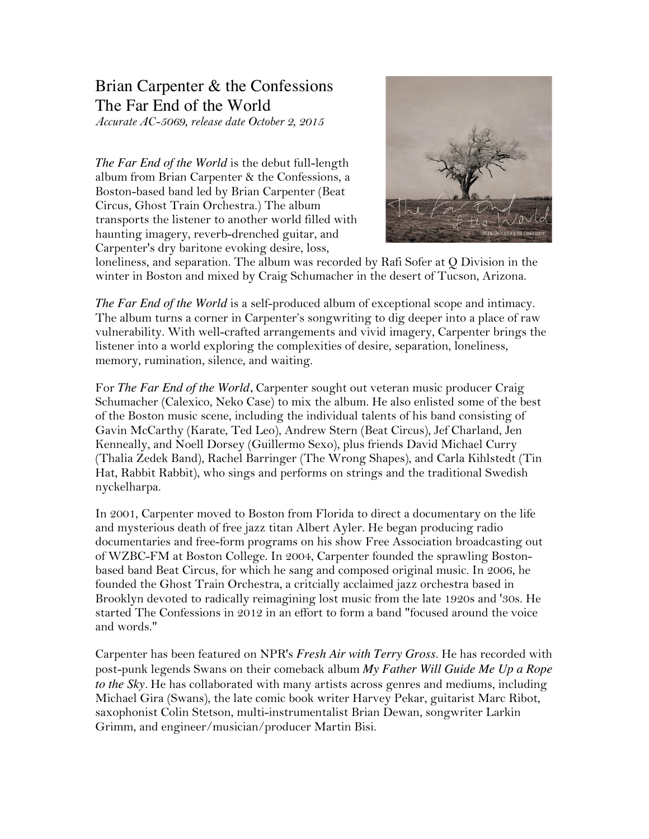## Brian Carpenter & the Confessions The Far End of the World

*Accurate AC-5069, release date October 2, 2015*

*The Far End of the World* is the debut full-length album from Brian Carpenter & the Confessions, a Boston-based band led by Brian Carpenter (Beat Circus, Ghost Train Orchestra.) The album transports the listener to another world filled with haunting imagery, reverb-drenched guitar, and Carpenter's dry baritone evoking desire, loss,



loneliness, and separation. The album was recorded by Rafi Sofer at Q Division in the winter in Boston and mixed by Craig Schumacher in the desert of Tucson, Arizona.

*The Far End of the World* is a self-produced album of exceptional scope and intimacy. The album turns a corner in Carpenter's songwriting to dig deeper into a place of raw vulnerability. With well-crafted arrangements and vivid imagery, Carpenter brings the listener into a world exploring the complexities of desire, separation, loneliness, memory, rumination, silence, and waiting.

For *The Far End of the World*, Carpenter sought out veteran music producer Craig Schumacher (Calexico, Neko Case) to mix the album. He also enlisted some of the best of the Boston music scene, including the individual talents of his band consisting of Gavin McCarthy (Karate, Ted Leo), Andrew Stern (Beat Circus), Jef Charland, Jen Kenneally, and Noell Dorsey (Guillermo Sexo), plus friends David Michael Curry (Thalia Zedek Band), Rachel Barringer (The Wrong Shapes), and Carla Kihlstedt (Tin Hat, Rabbit Rabbit), who sings and performs on strings and the traditional Swedish nyckelharpa.

In 2001, Carpenter moved to Boston from Florida to direct a documentary on the life and mysterious death of free jazz titan Albert Ayler. He began producing radio documentaries and free-form programs on his show Free Association broadcasting out of WZBC-FM at Boston College. In 2004, Carpenter founded the sprawling Bostonbased band Beat Circus, for which he sang and composed original music. In 2006, he founded the Ghost Train Orchestra, a critcially acclaimed jazz orchestra based in Brooklyn devoted to radically reimagining lost music from the late 1920s and '30s. He started The Confessions in 2012 in an effort to form a band "focused around the voice and words."

Carpenter has been featured on NPR's *Fresh Air with Terry Gross*. He has recorded with post-punk legends Swans on their comeback album *My Father Will Guide Me Up a Rope to the Sky.* He has collaborated with many artists across genres and mediums, including Michael Gira (Swans), the late comic book writer Harvey Pekar, guitarist Marc Ribot, saxophonist Colin Stetson, multi-instrumentalist Brian Dewan, songwriter Larkin Grimm, and engineer/musician/producer Martin Bisi.